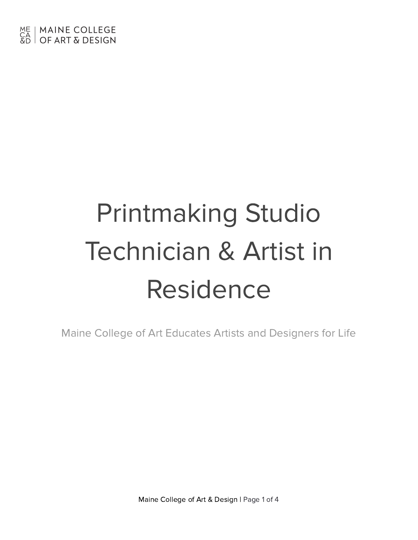# Printmaking Studio Technician & Artist in Residence

Maine College of Art Educates Artists and Designers for Life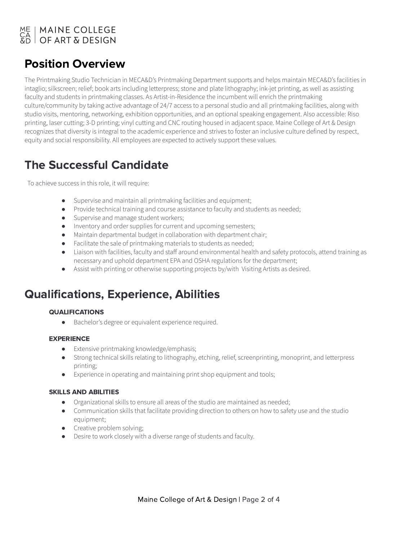# ME | MAINE COLLEGE<br>CA | OF ART & DESIGN

### Position Overview

The Printmaking Studio Technician in MECA&D's Printmaking Department supports and helps maintain MECA&D's facilities in intaglio; silkscreen; relief; book arts including letterpress; stone and plate lithography; ink-jet printing, as well as assisting faculty and students in printmaking classes. As Artist-in-Residence the incumbent will enrich the printmaking culture/community by taking active advantage of 24/7 access to a personal studio and all printmaking facilities, along with studio visits, mentoring, networking, exhibition opportunities, and an optional speaking engagement. Also accessible: Riso printing, laser cutting; 3-D printing; vinyl cutting and CNC routing housed in adjacent space. Maine College of Art & Design recognizes that diversity is integral to the academic experience and strives to foster an inclusive culture defined by respect, equity and social responsibility. All employees are expected to actively support these values.

### The Successful Candidate

To achieve success in this role, it will require:

- Supervise and maintain all printmaking facilities and equipment;
- Provide technical training and course assistance to faculty and students as needed;
- Supervise and manage student workers;
- Inventory and order supplies for current and upcoming semesters;
- Maintain departmental budget in collaboration with department chair;
- Facilitate the sale of printmaking materials to students as needed;
- Liaison with facilities, faculty and staff around environmental health and safety protocols, attend training as necessary and uphold department EPA and OSHA regulations for the department;
- Assist with printing or otherwise supporting projects by/with Visiting Artists as desired.

### Qualifications, Experience, Abilities

#### QUALIFICATIONS

● Bachelor's degree or equivalent experience required.

#### EXPERIENCE

- Extensive printmaking knowledge/emphasis;
- Strong technical skills relating to lithography, etching, relief, screenprinting, monoprint, and letterpress printing;
- Experience in operating and maintaining print shop equipment and tools;

#### SKILLS AND ABILITIES

- Organizational skills to ensure all areas of the studio are maintained as needed;
- Communication skills that facilitate providing direction to others on how to safety use and the studio equipment;
- Creative problem solving;
- Desire to work closely with a diverse range of students and faculty.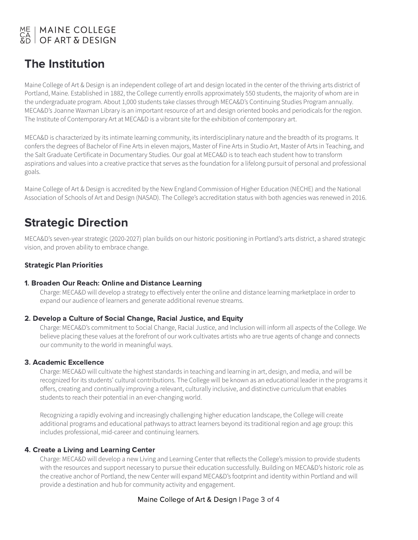# ME | MAINE COLLEGE<br>CA | OF ART & DESIGN

### The Institution

Maine College of Art & Design is an independent college of art and design located in the center of the thriving arts district of Portland, Maine. Established in 1882, the College currently enrolls approximately 550 students, the majority of whom are in the undergraduate program. About 1,000 students take classes through MECA&D's Continuing Studies Program annually. MECA&D's Joanne Waxman Library is an important resource of art and design oriented books and periodicals for the region. The Institute of Contemporary Art at MECA&D is a vibrant site for the exhibition of contemporary art.

MECA&D is characterized by its intimate learning community, its interdisciplinary nature and the breadth of its programs. It confers the degrees of Bachelor of Fine Arts in eleven majors, Master of Fine Arts in Studio Art, Master of Arts in Teaching, and the Salt Graduate Certificate in Documentary Studies. Our goal at MECA&D is to teach each student how to transform aspirations and values into a creative practice that serves as the foundation for a lifelong pursuit of personal and professional goals.

Maine College of Art & Design is accredited by the New England Commission of Higher Education (NECHE) and the National Association of Schools of Art and Design (NASAD). The College's accreditation status with both agencies was renewed in 2016.

### Strategic Direction

MECA&D's seven-year strategic (2020-2027) plan builds on our historic positioning in Portland's arts district, a shared strategic vision, and proven ability to embrace change.

### **Strategic Plan Priorities**

#### 1. Broaden Our Reach: Online and Distance Learning

Charge: MECA&D will develop a strategy to effectively enter the online and distance learning marketplace in order to expand our audience of learners and generate additional revenue streams.

#### 2. Develop a Culture of Social Change, Racial Justice, and Equity

Charge: MECA&D's commitment to Social Change, Racial Justice, and Inclusion will inform all aspects of the College. We believe placing these values at the forefront of our work cultivates artists who are true agents of change and connects our community to the world in meaningful ways.

#### 3. Academic Excellence

Charge: MECA&D will cultivate the highest standards in teaching and learning in art, design, and media, and will be recognized for its students' cultural contributions. The College will be known as an educational leader in the programs it offers, creating and continually improving a relevant, culturally inclusive, and distinctive curriculum that enables students to reach their potential in an ever-changing world.

Recognizing a rapidly evolving and increasingly challenging higher education landscape, the College will create additional programs and educational pathways to attract learners beyond its traditional region and age group: this includes professional, mid-career and continuing learners.

### 4. Create a Living and Learning Center

Charge: MECA&D will develop a new Living and Learning Center that reflects the College's mission to provide students with the resources and support necessary to pursue their education successfully. Building on MECA&D's historic role as the creative anchor of Portland, the new Center will expand MECA&D's footprint and identity within Portland and will provide a destination and hub for community activity and engagement.

### Maine College of Art & Design | Page 3 of 4